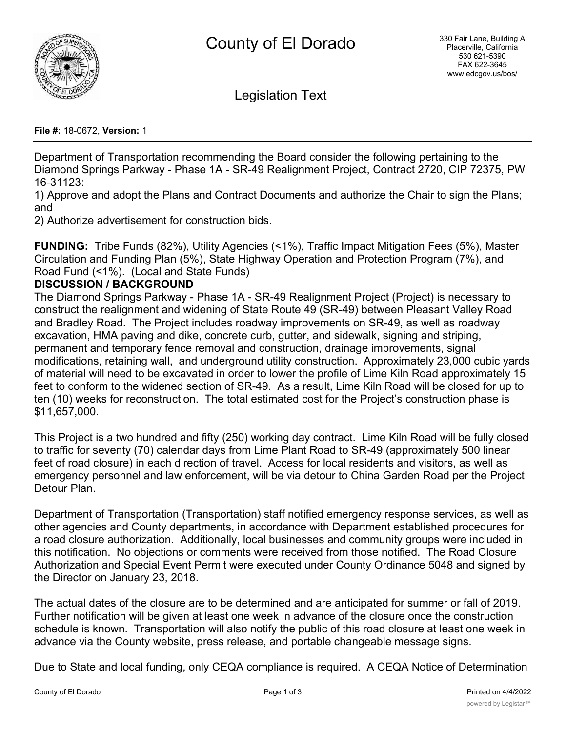

Legislation Text

**File #:** 18-0672, **Version:** 1

Department of Transportation recommending the Board consider the following pertaining to the Diamond Springs Parkway - Phase 1A - SR-49 Realignment Project, Contract 2720, CIP 72375, PW 16-31123:

1) Approve and adopt the Plans and Contract Documents and authorize the Chair to sign the Plans; and

2) Authorize advertisement for construction bids.

**FUNDING:** Tribe Funds (82%), Utility Agencies (<1%), Traffic Impact Mitigation Fees (5%), Master Circulation and Funding Plan (5%), State Highway Operation and Protection Program (7%), and Road Fund (<1%). (Local and State Funds)

# **DISCUSSION / BACKGROUND**

The Diamond Springs Parkway - Phase 1A - SR-49 Realignment Project (Project) is necessary to construct the realignment and widening of State Route 49 (SR-49) between Pleasant Valley Road and Bradley Road. The Project includes roadway improvements on SR-49, as well as roadway excavation, HMA paving and dike, concrete curb, gutter, and sidewalk, signing and striping, permanent and temporary fence removal and construction, drainage improvements, signal modifications, retaining wall, and underground utility construction. Approximately 23,000 cubic yards of material will need to be excavated in order to lower the profile of Lime Kiln Road approximately 15 feet to conform to the widened section of SR-49. As a result, Lime Kiln Road will be closed for up to ten (10) weeks for reconstruction. The total estimated cost for the Project's construction phase is \$11,657,000.

This Project is a two hundred and fifty (250) working day contract. Lime Kiln Road will be fully closed to traffic for seventy (70) calendar days from Lime Plant Road to SR-49 (approximately 500 linear feet of road closure) in each direction of travel. Access for local residents and visitors, as well as emergency personnel and law enforcement, will be via detour to China Garden Road per the Project Detour Plan.

Department of Transportation (Transportation) staff notified emergency response services, as well as other agencies and County departments, in accordance with Department established procedures for a road closure authorization. Additionally, local businesses and community groups were included in this notification. No objections or comments were received from those notified. The Road Closure Authorization and Special Event Permit were executed under County Ordinance 5048 and signed by the Director on January 23, 2018.

The actual dates of the closure are to be determined and are anticipated for summer or fall of 2019. Further notification will be given at least one week in advance of the closure once the construction schedule is known. Transportation will also notify the public of this road closure at least one week in advance via the County website, press release, and portable changeable message signs.

Due to State and local funding, only CEQA compliance is required. A CEQA Notice of Determination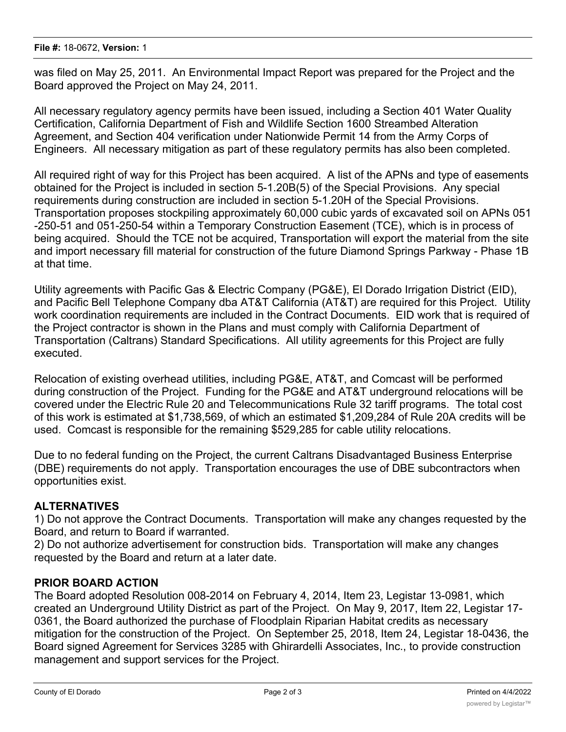was filed on May 25, 2011. An Environmental Impact Report was prepared for the Project and the Board approved the Project on May 24, 2011.

All necessary regulatory agency permits have been issued, including a Section 401 Water Quality Certification, California Department of Fish and Wildlife Section 1600 Streambed Alteration Agreement, and Section 404 verification under Nationwide Permit 14 from the Army Corps of Engineers. All necessary mitigation as part of these regulatory permits has also been completed.

All required right of way for this Project has been acquired. A list of the APNs and type of easements obtained for the Project is included in section 5-1.20B(5) of the Special Provisions. Any special requirements during construction are included in section 5-1.20H of the Special Provisions. Transportation proposes stockpiling approximately 60,000 cubic yards of excavated soil on APNs 051 -250-51 and 051-250-54 within a Temporary Construction Easement (TCE), which is in process of being acquired. Should the TCE not be acquired, Transportation will export the material from the site and import necessary fill material for construction of the future Diamond Springs Parkway - Phase 1B at that time.

Utility agreements with Pacific Gas & Electric Company (PG&E), El Dorado Irrigation District (EID), and Pacific Bell Telephone Company dba AT&T California (AT&T) are required for this Project. Utility work coordination requirements are included in the Contract Documents. EID work that is required of the Project contractor is shown in the Plans and must comply with California Department of Transportation (Caltrans) Standard Specifications. All utility agreements for this Project are fully executed.

Relocation of existing overhead utilities, including PG&E, AT&T, and Comcast will be performed during construction of the Project. Funding for the PG&E and AT&T underground relocations will be covered under the Electric Rule 20 and Telecommunications Rule 32 tariff programs. The total cost of this work is estimated at \$1,738,569, of which an estimated \$1,209,284 of Rule 20A credits will be used. Comcast is responsible for the remaining \$529,285 for cable utility relocations.

Due to no federal funding on the Project, the current Caltrans Disadvantaged Business Enterprise (DBE) requirements do not apply. Transportation encourages the use of DBE subcontractors when opportunities exist.

# **ALTERNATIVES**

1) Do not approve the Contract Documents. Transportation will make any changes requested by the Board, and return to Board if warranted.

2) Do not authorize advertisement for construction bids. Transportation will make any changes requested by the Board and return at a later date.

# **PRIOR BOARD ACTION**

The Board adopted Resolution 008-2014 on February 4, 2014, Item 23, Legistar 13-0981, which created an Underground Utility District as part of the Project. On May 9, 2017, Item 22, Legistar 17- 0361, the Board authorized the purchase of Floodplain Riparian Habitat credits as necessary mitigation for the construction of the Project. On September 25, 2018, Item 24, Legistar 18-0436, the Board signed Agreement for Services 3285 with Ghirardelli Associates, Inc., to provide construction management and support services for the Project.